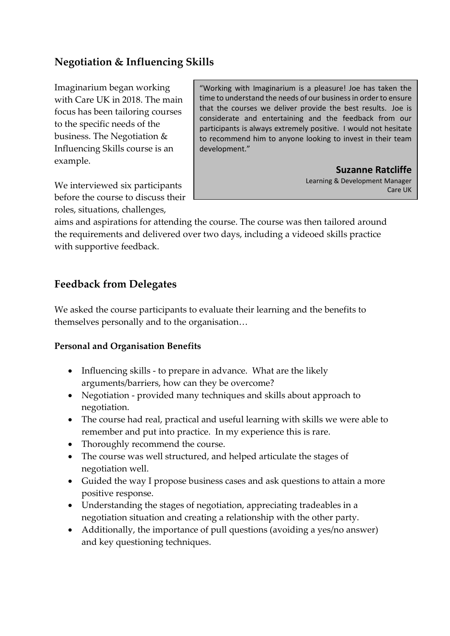## **Negotiation & Influencing Skills**

Imaginarium began working with Care UK in 2018. The main focus has been tailoring courses to the specific needs of the business. The Negotiation & Influencing Skills course is an example.

"Working with Imaginarium is a pleasure! Joe has taken the time to understand the needs of our business in order to ensure that the courses we deliver provide the best results. Joe is considerate and entertaining and the feedback from our participants is always extremely positive. I would not hesitate to recommend him to anyone looking to invest in their team development."

**Suzanne Ratcliffe**

Learning & Development Manager Care UK

We interviewed six participants before the course to discuss their roles, situations, challenges,

aims and aspirations for attending the course. The course was then tailored around the requirements and delivered over two days, including a videoed skills practice with supportive feedback.

## **Feedback from Delegates**

We asked the course participants to evaluate their learning and the benefits to themselves personally and to the organisation…

## **Personal and Organisation Benefits**

- Influencing skills to prepare in advance. What are the likely arguments/barriers, how can they be overcome?
- Negotiation provided many techniques and skills about approach to negotiation.
- The course had real, practical and useful learning with skills we were able to remember and put into practice. In my experience this is rare.
- Thoroughly recommend the course.
- The course was well structured, and helped articulate the stages of negotiation well.
- Guided the way I propose business cases and ask questions to attain a more positive response.
- Understanding the stages of negotiation, appreciating tradeables in a negotiation situation and creating a relationship with the other party.
- Additionally, the importance of pull questions (avoiding a yes/no answer) and key questioning techniques.